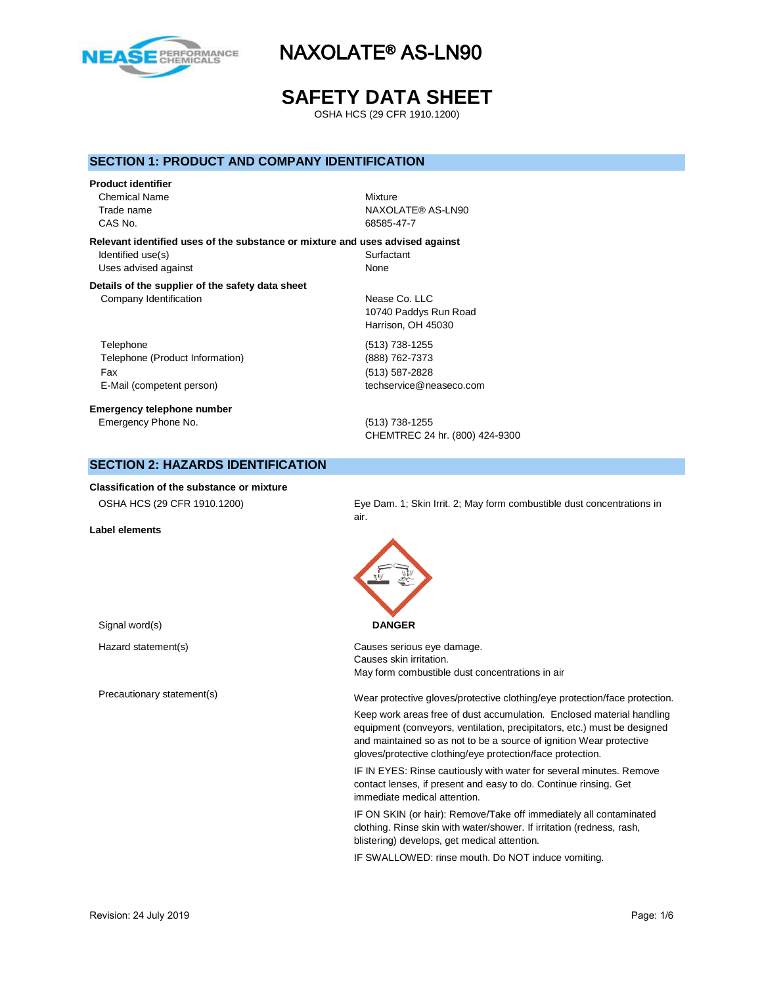

# **SAFETY DATA SHEET**

OSHA HCS (29 CFR 1910.1200)

### **SECTION 1: PRODUCT AND COMPANY IDENTIFICATION**

#### **Product identifier**

Chemical Name Mixture CAS No. 68585-47-7

Trade name NAXOLATE® AS-LN90

**Relevant identified uses of the substance or mixture and uses advised against** Identified use(s) Surfactant Uses advised against None

#### **Details of the supplier of the safety data sheet** Company Identification Nease Co. LLC

Telephone (513) 738-1255 Telephone (Product Information) (888) 762-7373 Fax (513) 587-2828 E-Mail (competent person) techservice@neaseco.com

### **Emergency telephone number** Emergency Phone No. (513) 738-1255

10740 Paddys Run Road Harrison, OH 45030

CHEMTREC 24 hr. (800) 424-9300

## **SECTION 2: HAZARDS IDENTIFICATION**

**Classification of the substance or mixture**

**Label elements**

OSHA HCS (29 CFR 1910.1200) Eye Dam. 1; Skin Irrit. 2; May form combustible dust concentrations in air.



Hazard statement(s) example a control control control causes serious eye damage. Causes skin irritation. May form combustible dust concentrations in air

Precautionary statement(s) examples and the Mear protective gloves/protective clothing/eye protection/face protection.

Keep work areas free of dust accumulation. Enclosed material handling equipment (conveyors, ventilation, precipitators, etc.) must be designed and maintained so as not to be a source of ignition Wear protective gloves/protective clothing/eye protection/face protection.

IF IN EYES: Rinse cautiously with water for several minutes. Remove contact lenses, if present and easy to do. Continue rinsing. Get immediate medical attention.

IF ON SKIN (or hair): Remove/Take off immediately all contaminated clothing. Rinse skin with water/shower. If irritation (redness, rash, blistering) develops, get medical attention.

IF SWALLOWED: rinse mouth. Do NOT induce vomiting.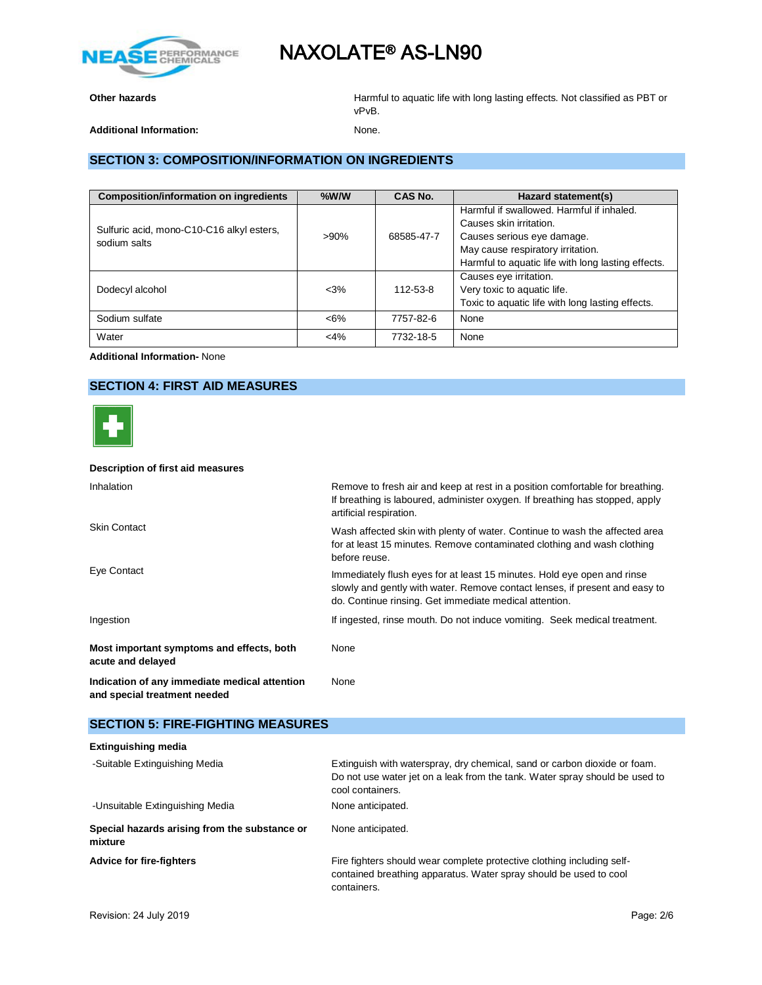

**Other hazards Calcular Exception 1 Constrained Mathematic Harmful to aquatic life with long lasting effects. Not classified as PBT or** vPvB.

Additional Information: **None.** None.

## **SECTION 3: COMPOSITION/INFORMATION ON INGREDIENTS**

| <b>Composition/information on ingredients</b> | $%$ W/W | CAS No.                    | Hazard statement(s)                                |
|-----------------------------------------------|---------|----------------------------|----------------------------------------------------|
|                                               |         |                            | Harmful if swallowed. Harmful if inhaled.          |
| Sulfuric acid, mono-C10-C16 alkyl esters,     |         |                            | Causes skin irritation.                            |
| sodium salts                                  | $>90\%$ | Causes serious eye damage. |                                                    |
|                                               |         |                            | May cause respiratory irritation.                  |
|                                               |         |                            | Harmful to aquatic life with long lasting effects. |
|                                               |         |                            | Causes eye irritation.                             |
| Dodecyl alcohol                               | $< 3\%$ | 112-53-8                   | Very toxic to aquatic life.                        |
|                                               |         |                            | Toxic to aquatic life with long lasting effects.   |
| Sodium sulfate                                | $<6\%$  | 7757-82-6                  | None                                               |
| Water                                         | $<$ 4%  | 7732-18-5                  | None                                               |

**Additional Information-** None

## **SECTION 4: FIRST AID MEASURES**



#### **Description of first aid measures**

| Inhalation                                                                    | Remove to fresh air and keep at rest in a position comfortable for breathing.<br>If breathing is laboured, administer oxygen. If breathing has stopped, apply<br>artificial respiration.                         |
|-------------------------------------------------------------------------------|------------------------------------------------------------------------------------------------------------------------------------------------------------------------------------------------------------------|
| <b>Skin Contact</b>                                                           | Wash affected skin with plenty of water. Continue to wash the affected area<br>for at least 15 minutes. Remove contaminated clothing and wash clothing<br>before reuse.                                          |
| Eye Contact                                                                   | Immediately flush eyes for at least 15 minutes. Hold eye open and rinse<br>slowly and gently with water. Remove contact lenses, if present and easy to<br>do. Continue rinsing. Get immediate medical attention. |
| Ingestion                                                                     | If ingested, rinse mouth. Do not induce vomiting. Seek medical treatment.                                                                                                                                        |
| Most important symptoms and effects, both<br>acute and delayed                | None                                                                                                                                                                                                             |
| Indication of any immediate medical attention<br>and special treatment needed | None                                                                                                                                                                                                             |

## **SECTION 5: FIRE-FIGHTING MEASURES**

| Extinguish with waterspray, dry chemical, sand or carbon dioxide or foam.<br>Do not use water jet on a leak from the tank. Water spray should be used to<br>cool containers. |
|------------------------------------------------------------------------------------------------------------------------------------------------------------------------------|
| None anticipated.                                                                                                                                                            |
| None anticipated.                                                                                                                                                            |
| Fire fighters should wear complete protective clothing including self-<br>contained breathing apparatus. Water spray should be used to cool<br>containers.                   |
|                                                                                                                                                                              |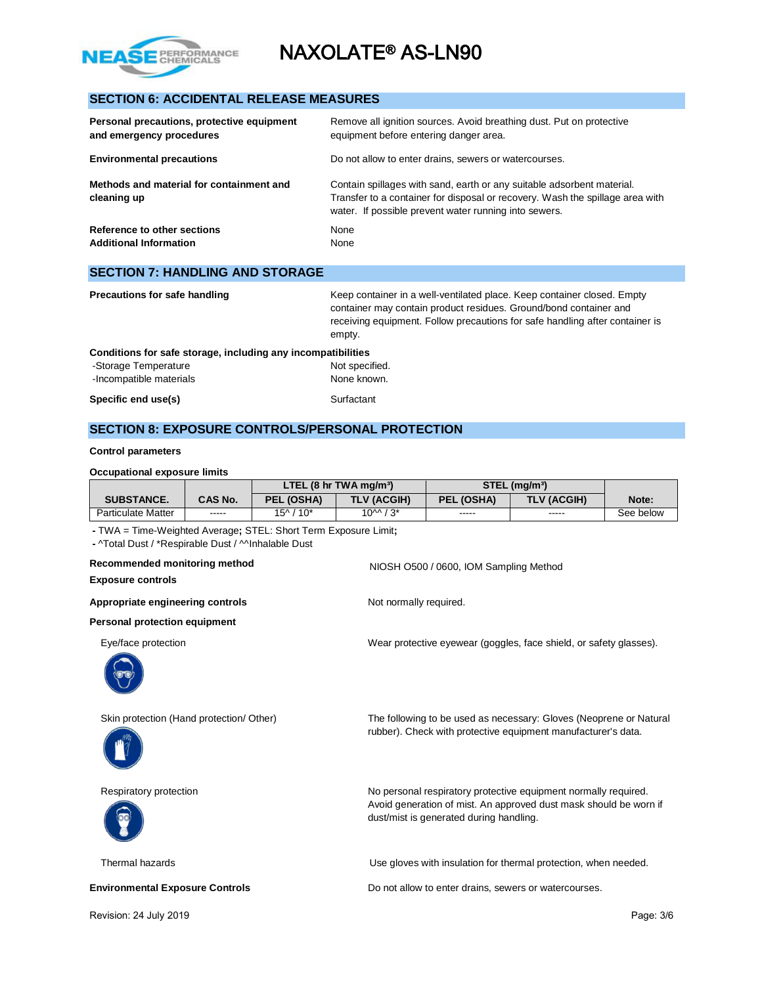

## **SECTION 6: ACCIDENTAL RELEASE MEASURES**

| Personal precautions, protective equipment<br>and emergency procedures | Remove all ignition sources. Avoid breathing dust. Put on protective<br>equipment before entering danger area.                                                                                                   |
|------------------------------------------------------------------------|------------------------------------------------------------------------------------------------------------------------------------------------------------------------------------------------------------------|
| <b>Environmental precautions</b>                                       | Do not allow to enter drains, sewers or watercourses.                                                                                                                                                            |
| Methods and material for containment and<br>cleaning up                | Contain spillages with sand, earth or any suitable adsorbent material.<br>Transfer to a container for disposal or recovery. Wash the spillage area with<br>water. If possible prevent water running into sewers. |
| Reference to other sections<br><b>Additional Information</b>           | None<br>None                                                                                                                                                                                                     |
| <b>SECTION 7: HANDLING AND STORAGE</b>                                 |                                                                                                                                                                                                                  |
| Precautions for safe handling                                          | Keep container in a well-ventilated place. Keep container closed. Empty                                                                                                                                          |

|                                                              | container may contain product residues. Ground/bond container and<br>receiving equipment. Follow precautions for safe handling after container is<br>empty. |
|--------------------------------------------------------------|-------------------------------------------------------------------------------------------------------------------------------------------------------------|
| Conditions for safe storage, including any incompatibilities |                                                                                                                                                             |
| -Storage Temperature                                         | Not specified.                                                                                                                                              |
| -Incompatible materials                                      | None known.                                                                                                                                                 |
| Specific end use(s)                                          | Surfactant                                                                                                                                                  |

### **SECTION 8: EXPOSURE CONTROLS/PERSONAL PROTECTION**

#### **Control parameters**

| Occupational exposure limits |                |                                                  |                    |                             |             |           |
|------------------------------|----------------|--------------------------------------------------|--------------------|-----------------------------|-------------|-----------|
|                              |                | LTEL $(8 \text{ hr} \text{ TWA} \text{ mg/m}^3)$ |                    | $STEL$ (mg/m <sup>3</sup> ) |             |           |
| <b>SUBSTANCE.</b>            | <b>CAS No.</b> | PEL (OSHA)                                       | <b>TLV (ACGIH)</b> | PEL (OSHA)                  | TLV (ACGIH) | Note:     |
| Particulate Matter           | -----          | $15^{\circ}$ / $10^*$                            | $10^{M}/3*$        | -----                       | -----       | See below |

**-** TWA = Time-Weighted Average**;** STEL: Short Term Exposure Limit**;** 

**-** ^Total Dust / \*Respirable Dust / ^^Inhalable Dust

## **Recommended monitoring method NIOSH O500 / 0600, IOM Sampling Method**

**Exposure controls**

Appropriate engineering controls **Not no and Separate Separate Appropriate** engineering controls

**Personal protection equipment**

Eye/face protection Wear protective eyewear (goggles, face shield, or safety glasses).



Skin protection (Hand protection/ Other) The following to be used as necessary: Gloves (Neoprene or Natural



Respiratory protection **No personal respiratory protective equipment normally required.** 



Thermal hazards Use gloves with insulation for thermal protection, when needed.

Avoid generation of mist. An approved dust mask should be worn if

rubber). Check with protective equipment manufacturer's data.

**Environmental Exposure Controls Example 20 and 20 and 20 and 20 and 20 and 20 and 20 and 20 and 20 and 20 and 20 and 20 and 20 and 20 and 20 and 20 and 20 and 20 and 20 and 20 and 20 and 20 and 20 and 20 and 20 and 20 a** 

dust/mist is generated during handling.

Revision: 24 July 2019 **Page: 3/6** Page: 3/6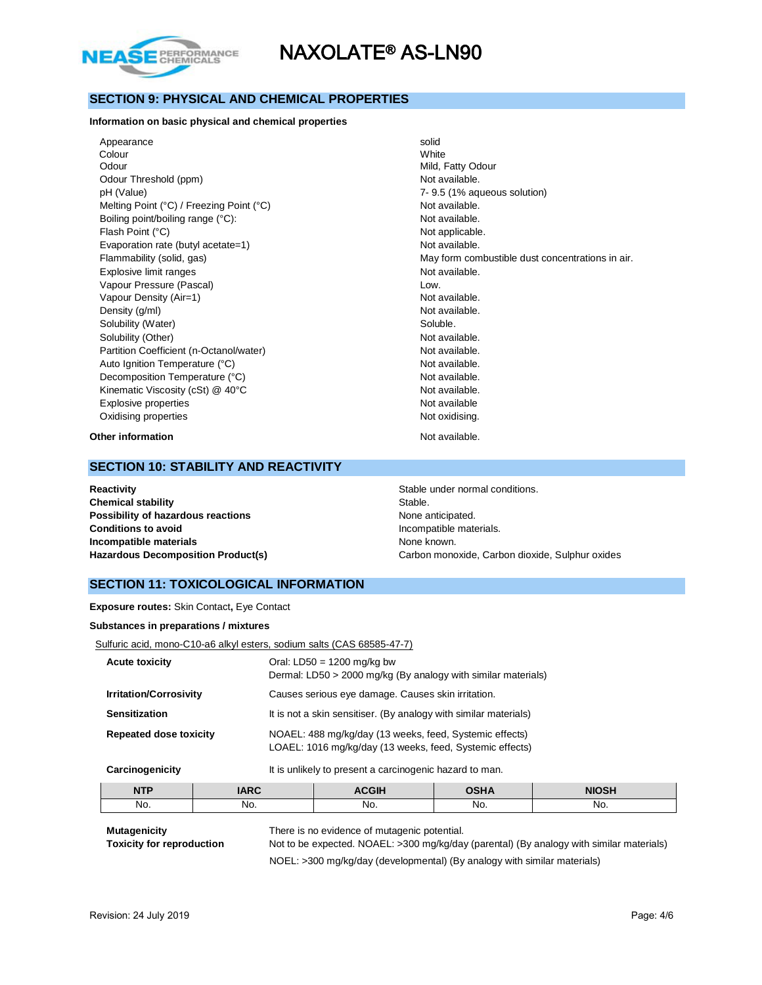

### **SECTION 9: PHYSICAL AND CHEMICAL PROPERTIES**

#### **Information on basic physical and chemical properties**

Appearance solid Colour White Odour **Mild, Fatty Odour** Mild, Fatty Odour Odour Threshold (ppm) Not available. pH (Value) 7- 9.5 (1% aqueous solution) Melting Point (°C) / Freezing Point (°C)  $\blacksquare$  Not available.<br>
Boiling point/boiling range (°C):  $\blacksquare$  Not available. Boiling point/boiling range (°C): Flash Point (°C) and the contract of the contract of the Not applicable. Evaporation rate (butyl acetate=1) Not available. Explosive limit ranges **Not available**. Vapour Pressure (Pascal) and the contract of the contract of the contract of the contract of the contract of the contract of the contract of the contract of the contract of the contract of the contract of the contract of t Vapour Density (Air=1) Not available. Density (g/ml) Not available. Solubility (Water) Soluble. Solubility (Other) Not available. Partition Coefficient (n-Octanol/water) Not available. Auto Ignition Temperature (°C) and the control of the Not available. Decomposition Temperature (°C) Not available. Kinematic Viscosity (cSt) @ 40°C Not available. Explosive properties **Not available** Oxidising properties Not oxidising.

Flammability (solid, gas) The May form combustible dust concentrations in air.

**Other information** Not available.

### **SECTION 10: STABILITY AND REACTIVITY**

**Reactivity Reactivity Stable under normal conditions. Chemical stability** Stable. **Possibility of hazardous reactions** None anticipated. **Conditions to avoid Incompatible materials. Incompatible materials None known. None known.** 

**Hazardous Decomposition Product(s)** Carbon monoxide, Carbon dioxide, Sulphur oxides

### **SECTION 11: TOXICOLOGICAL INFORMATION**

**Exposure routes:** Skin Contact**,** Eye Contact

**Substances in preparations / mixtures**

| Sulfuric acid, mono-C10-a6 alkyl esters, sodium salts (CAS 68585-47-7) |  |  |
|------------------------------------------------------------------------|--|--|
|                                                                        |  |  |

| <b>Acute toxicity</b>         | Oral: $LD50 = 1200$ mg/kg bw<br>Dermal: LD50 > 2000 mg/kg (By analogy with similar materials)                       |
|-------------------------------|---------------------------------------------------------------------------------------------------------------------|
| <b>Irritation/Corrosivity</b> | Causes serious eye damage. Causes skin irritation.                                                                  |
| <b>Sensitization</b>          | It is not a skin sensitiser. (By analogy with similar materials)                                                    |
| <b>Repeated dose toxicity</b> | NOAEL: 488 mg/kg/day (13 weeks, feed, Systemic effects)<br>LOAEL: 1016 mg/kg/day (13 weeks, feed, Systemic effects) |
| Carcinogenicity               | It is unlikely to present a carcinogenic hazard to man.                                                             |

| <b>NTP</b> | $I\triangle R$ C<br>טוחו | <b>\CGIH</b> | י ⊔י∩<br>יייש | <b>NIOSH</b> |
|------------|--------------------------|--------------|---------------|--------------|
| No.        | No.                      | No.          | No.           | No.          |
|            |                          |              |               |              |

**Mutagenicity** There is no evidence of mutagenic potential.

**Toxicity for reproduction** Not to be expected. NOAEL: >300 mg/kg/day (parental) (By analogy with similar materials) NOEL: >300 mg/kg/day (developmental) (By analogy with similar materials)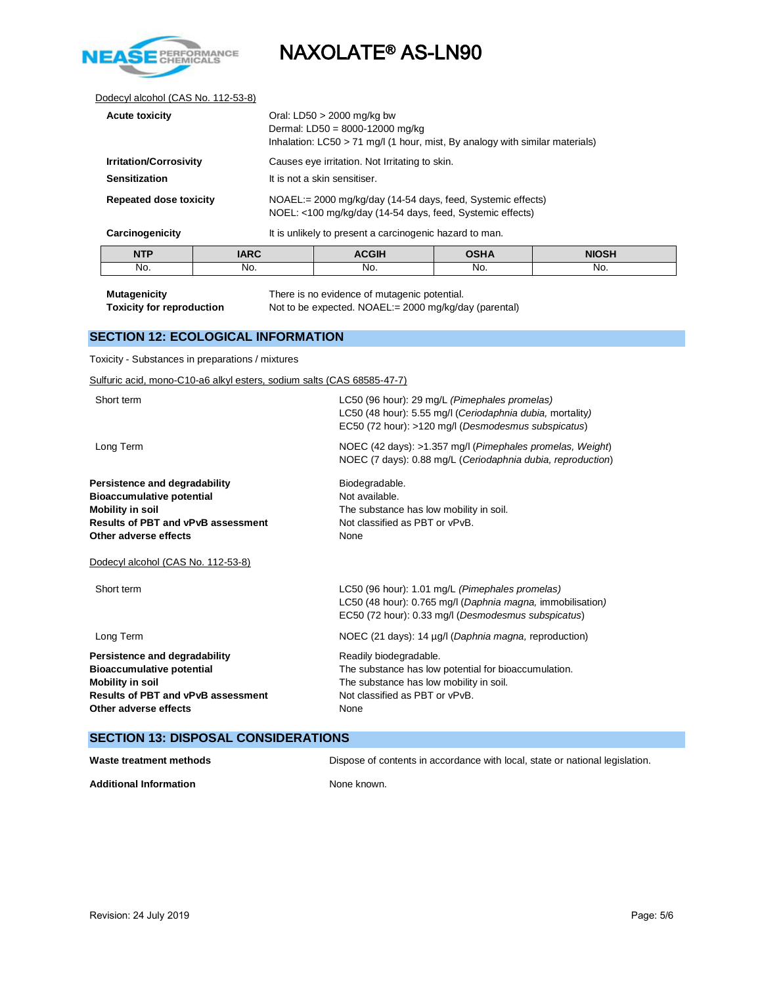

#### Dodecyl alcohol (CAS No. 112-53-8)

| <b>Acute toxicity</b>         |             | Oral: LD50 $>$ 2000 mg/kg bw<br>Dermal: LD50 = 8000-12000 mg/kg<br>Inhalation: $LCS0 > 71$ mg/l (1 hour, mist, By analogy with similar materials) |             |              |  |
|-------------------------------|-------------|---------------------------------------------------------------------------------------------------------------------------------------------------|-------------|--------------|--|
| <b>Irritation/Corrosivity</b> |             | Causes eye irritation. Not Irritating to skin.                                                                                                    |             |              |  |
| <b>Sensitization</b>          |             | It is not a skin sensitiser.                                                                                                                      |             |              |  |
| <b>Repeated dose toxicity</b> |             | NOAEL:= 2000 mg/kg/day (14-54 days, feed, Systemic effects)<br>NOEL: <100 mg/kg/day (14-54 days, feed, Systemic effects)                          |             |              |  |
| Carcinogenicity               |             | It is unlikely to present a carcinogenic hazard to man.                                                                                           |             |              |  |
| <b>NTP</b>                    | <b>IARC</b> | <b>ACGIH</b>                                                                                                                                      | <b>OSHA</b> | <b>NIOSH</b> |  |
| No.                           | No.         | No.                                                                                                                                               | No.         | No.          |  |

**Mutagenicity** There is no evidence of mutagenic potential.<br> **Toxicity for reproduction** Not to be expected. NOAEL:= 2000 mg/kg/da Not to be expected. NOAEL:= 2000 mg/kg/day (parental)

### **SECTION 12: ECOLOGICAL INFORMATION**

Toxicity - Substances in preparations / mixtures

Sulfuric acid, mono-C10-a6 alkyl esters, sodium salts (CAS 68585-47-7)

| Short term<br>LC50 (96 hour): 29 mg/L (Pimephales promelas)<br>LC50 (48 hour): 5.55 mg/l (Ceriodaphnia dubia, mortality)<br>EC50 (72 hour): >120 mg/l (Desmodesmus subspicatus)<br>Long Term<br>Biodegradable.<br>Not available.<br>The substance has low mobility in soil.<br>Not classified as PBT or vPvB.<br>Other adverse effects<br>None<br>Dodecyl alcohol (CAS No. 112-53-8)<br>Short term<br>LC50 (96 hour): 1.01 mg/L (Pimephales promelas)<br>EC50 (72 hour): 0.33 mg/l (Desmodesmus subspicatus)<br>Long Term<br>NOEC (21 days): 14 µg/l (Daphnia magna, reproduction)<br>Readily biodegradable.<br>The substance has low potential for bioaccumulation.<br>The substance has low mobility in soil.<br>Not classified as PBT or vPvB.<br>None |                                                                                                                          |
|-----------------------------------------------------------------------------------------------------------------------------------------------------------------------------------------------------------------------------------------------------------------------------------------------------------------------------------------------------------------------------------------------------------------------------------------------------------------------------------------------------------------------------------------------------------------------------------------------------------------------------------------------------------------------------------------------------------------------------------------------------------|--------------------------------------------------------------------------------------------------------------------------|
| Persistence and degradability<br><b>Bioaccumulative potential</b><br><b>Mobility in soil</b><br><b>Results of PBT and vPvB assessment</b><br>Persistence and degradability<br><b>Bioaccumulative potential</b><br><b>Mobility in soil</b><br><b>Results of PBT and vPvB assessment</b><br>Other adverse effects                                                                                                                                                                                                                                                                                                                                                                                                                                           |                                                                                                                          |
|                                                                                                                                                                                                                                                                                                                                                                                                                                                                                                                                                                                                                                                                                                                                                           | NOEC (42 days): >1.357 mg/l (Pimephales promelas, Weight)<br>NOEC (7 days): 0.88 mg/L (Ceriodaphnia dubia, reproduction) |
|                                                                                                                                                                                                                                                                                                                                                                                                                                                                                                                                                                                                                                                                                                                                                           |                                                                                                                          |
|                                                                                                                                                                                                                                                                                                                                                                                                                                                                                                                                                                                                                                                                                                                                                           |                                                                                                                          |
|                                                                                                                                                                                                                                                                                                                                                                                                                                                                                                                                                                                                                                                                                                                                                           | LC50 (48 hour): 0.765 mg/l (Daphnia magna, immobilisation)                                                               |
|                                                                                                                                                                                                                                                                                                                                                                                                                                                                                                                                                                                                                                                                                                                                                           |                                                                                                                          |
|                                                                                                                                                                                                                                                                                                                                                                                                                                                                                                                                                                                                                                                                                                                                                           |                                                                                                                          |

### **SECTION 13: DISPOSAL CONSIDERATIONS**

| Waste treatment methods       | Dispose of contents in accordance with local, state or national legislation. |
|-------------------------------|------------------------------------------------------------------------------|
| <b>Additional Information</b> | None known.                                                                  |